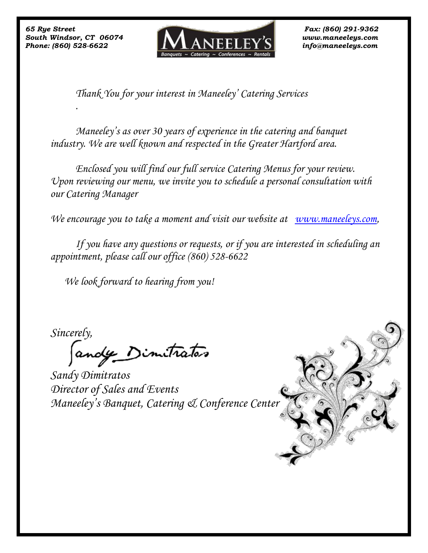*.*



*Thank You for your interest in Maneeley' Catering Services* 

*Maneeley's as over 30 years of experience in the catering and banquet industry. We are well known and respected in the Greater Hartford area.*

*Enclosed you will find our full service Catering Menus for your review. Upon reviewing our menu, we invite you to schedule a personal consultation with our Catering Manager* 

*We encourage you to take a moment and visit our website at [www.maneeleys.com,](http://www.maneeleys.com/)*

*If you have any questions or requests, or if you are interested in scheduling an appointment, please call our office (860) 528-6622*

 *We look forward to hearing from you!*

*Sincerely,* 

andy Dimitrator

*Sandy Dimitratos Director of Sales and Events Maneeley's Banquet, Catering & Conference Center*

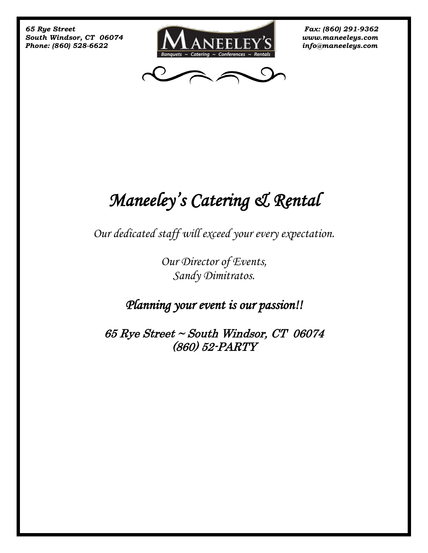



## *Maneeley's Catering & Rental*

*Our dedicated staff will exceed your every expectation.*

*Our Director of Events, Sandy Dimitratos.*

*Planning your event is our passion!!* 

65 Rye Street ~ South Windsor, CT 06074 (860) 52-PARTY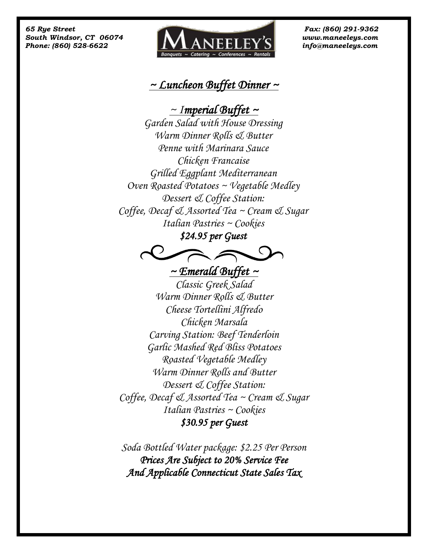

## *~ Luncheon Buffet Dinner ~*

*~ Imperial Buffet ~* 

*Garden Salad with House Dressing Warm Dinner Rolls & Butter Penne with Marinara Sauce Chicken Francaise Grilled Eggplant Mediterranean Oven Roasted Potatoes ~ Vegetable Medley Dessert & Coffee Station: Coffee, Decaf & Assorted Tea ~ Cream & Sugar Italian Pastries ~ Cookies* 

*\$24.95 per Guest* 



*~ Emerald Buffet ~* 

*Classic Greek Salad Warm Dinner Rolls & Butter Cheese Tortellini Alfredo Chicken Marsala Carving Station: Beef Tenderloin Garlic Mashed Red Bliss Potatoes Roasted Vegetable Medley Warm Dinner Rolls and Butter Dessert & Coffee Station: Coffee, Decaf & Assorted Tea ~ Cream & Sugar Italian Pastries ~ Cookies \$30.95 per Guest* 

*Soda Bottled Water package: \$2.25 Per Person Prices Are Subject to 20% Service Fee And Applicable Connecticut State Sales Tax*